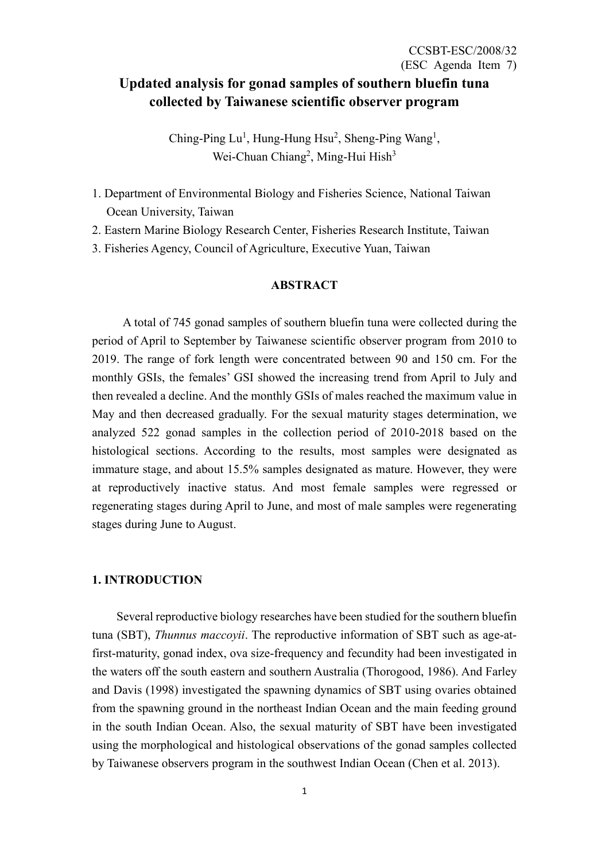# **Updated analysis for gonad samples of southern bluefin tuna collected by Taiwanese scientific observer program**

Ching-Ping Lu<sup>1</sup>, Hung-Hung Hsu<sup>2</sup>, Sheng-Ping Wang<sup>1</sup>, Wei-Chuan Chiang<sup>2</sup>, Ming-Hui Hish<sup>3</sup>

- 1. Department of Environmental Biology and Fisheries Science, National Taiwan Ocean University, Taiwan
- 2. Eastern Marine Biology Research Center, Fisheries Research Institute, Taiwan
- 3. Fisheries Agency, Council of Agriculture, Executive Yuan, Taiwan

### **ABSTRACT**

A total of 745 gonad samples of southern bluefin tuna were collected during the period of April to September by Taiwanese scientific observer program from 2010 to 2019. The range of fork length were concentrated between 90 and 150 cm. For the monthly GSIs, the females' GSI showed the increasing trend from April to July and then revealed a decline. And the monthly GSIs of males reached the maximum value in May and then decreased gradually. For the sexual maturity stages determination, we analyzed 522 gonad samples in the collection period of 2010-2018 based on the histological sections. According to the results, most samples were designated as immature stage, and about 15.5% samples designated as mature. However, they were at reproductively inactive status. And most female samples were regressed or regenerating stages during April to June, and most of male samples were regenerating stages during June to August.

#### **1. INTRODUCTION**

Several reproductive biology researches have been studied for the southern bluefin tuna (SBT), *Thunnus maccoyii*. The reproductive information of SBT such as age-atfirst-maturity, gonad index, ova size-frequency and fecundity had been investigated in the waters off the south eastern and southern Australia (Thorogood, 1986). And Farley and Davis (1998) investigated the spawning dynamics of SBT using ovaries obtained from the spawning ground in the northeast Indian Ocean and the main feeding ground in the south Indian Ocean. Also, the sexual maturity of SBT have been investigated using the morphological and histological observations of the gonad samples collected by Taiwanese observers program in the southwest Indian Ocean (Chen et al. 2013).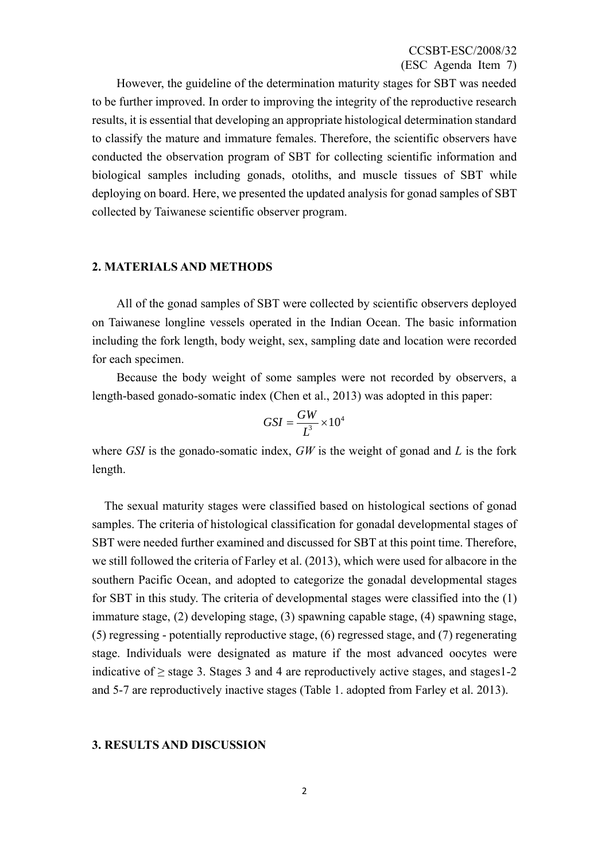However, the guideline of the determination maturity stages for SBT was needed to be further improved. In order to improving the integrity of the reproductive research results, it is essential that developing an appropriate histological determination standard to classify the mature and immature females. Therefore, the scientific observers have conducted the observation program of SBT for collecting scientific information and biological samples including gonads, otoliths, and muscle tissues of SBT while deploying on board. Here, we presented the updated analysis for gonad samples of SBT collected by Taiwanese scientific observer program.

#### **2. MATERIALS AND METHODS**

All of the gonad samples of SBT were collected by scientific observers deployed on Taiwanese longline vessels operated in the Indian Ocean. The basic information including the fork length, body weight, sex, sampling date and location were recorded for each specimen.

Because the body weight of some samples were not recorded by observers, a length-based gonado-somatic index (Chen et al., 2013) was adopted in this paper:

$$
GSI = \frac{GW}{L^3} \times 10^4
$$

where *GSI* is the gonado-somatic index, *GW* is the weight of gonad and *L* is the fork length.

 The sexual maturity stages were classified based on histological sections of gonad samples. The criteria of histological classification for gonadal developmental stages of SBT were needed further examined and discussed for SBT at this point time. Therefore, we still followed the criteria of Farley et al. (2013), which were used for albacore in the southern Pacific Ocean, and adopted to categorize the gonadal developmental stages for SBT in this study. The criteria of developmental stages were classified into the (1) immature stage, (2) developing stage, (3) spawning capable stage, (4) spawning stage, (5) regressing - potentially reproductive stage, (6) regressed stage, and (7) regenerating stage. Individuals were designated as mature if the most advanced oocytes were indicative of  $\geq$  stage 3. Stages 3 and 4 are reproductively active stages, and stages 1-2 and 5-7 are reproductively inactive stages (Table 1. adopted from Farley et al. 2013).

#### **3. RESULTS AND DISCUSSION**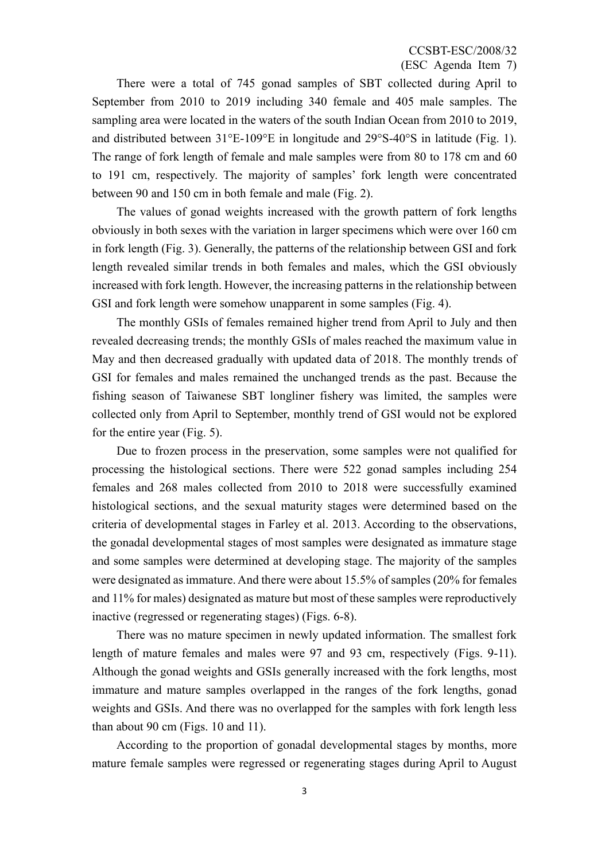There were a total of 745 gonad samples of SBT collected during April to September from 2010 to 2019 including 340 female and 405 male samples. The sampling area were located in the waters of the south Indian Ocean from 2010 to 2019, and distributed between 31°E-109°E in longitude and 29°S-40°S in latitude (Fig. 1). The range of fork length of female and male samples were from 80 to 178 cm and 60 to 191 cm, respectively. The majority of samples' fork length were concentrated between 90 and 150 cm in both female and male (Fig. 2).

The values of gonad weights increased with the growth pattern of fork lengths obviously in both sexes with the variation in larger specimens which were over 160 cm in fork length (Fig. 3). Generally, the patterns of the relationship between GSI and fork length revealed similar trends in both females and males, which the GSI obviously increased with fork length. However, the increasing patterns in the relationship between GSI and fork length were somehow unapparent in some samples (Fig. 4).

The monthly GSIs of females remained higher trend from April to July and then revealed decreasing trends; the monthly GSIs of males reached the maximum value in May and then decreased gradually with updated data of 2018. The monthly trends of GSI for females and males remained the unchanged trends as the past. Because the fishing season of Taiwanese SBT longliner fishery was limited, the samples were collected only from April to September, monthly trend of GSI would not be explored for the entire year (Fig. 5).

Due to frozen process in the preservation, some samples were not qualified for processing the histological sections. There were 522 gonad samples including 254 females and 268 males collected from 2010 to 2018 were successfully examined histological sections, and the sexual maturity stages were determined based on the criteria of developmental stages in Farley et al. 2013. According to the observations, the gonadal developmental stages of most samples were designated as immature stage and some samples were determined at developing stage. The majority of the samples were designated as immature. And there were about 15.5% of samples (20% for females and 11% for males) designated as mature but most of these samples were reproductively inactive (regressed or regenerating stages) (Figs. 6-8).

There was no mature specimen in newly updated information. The smallest fork length of mature females and males were 97 and 93 cm, respectively (Figs. 9-11). Although the gonad weights and GSIs generally increased with the fork lengths, most immature and mature samples overlapped in the ranges of the fork lengths, gonad weights and GSIs. And there was no overlapped for the samples with fork length less than about 90 cm (Figs. 10 and 11).

According to the proportion of gonadal developmental stages by months, more mature female samples were regressed or regenerating stages during April to August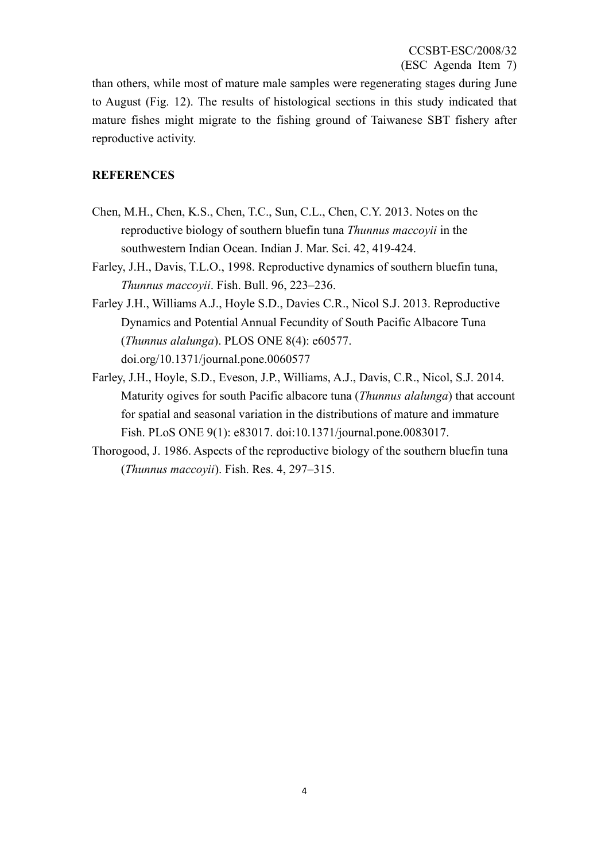than others, while most of mature male samples were regenerating stages during June to August (Fig. 12). The results of histological sections in this study indicated that mature fishes might migrate to the fishing ground of Taiwanese SBT fishery after reproductive activity.

### **REFERENCES**

- Chen, M.H., Chen, K.S., Chen, T.C., Sun, C.L., Chen, C.Y. 2013. Notes on the reproductive biology of southern bluefin tuna *Thunnus maccoyii* in the southwestern Indian Ocean. Indian J. Mar. Sci. 42, 419-424.
- Farley, J.H., Davis, T.L.O., 1998. Reproductive dynamics of southern bluefin tuna, *Thunnus maccoyii*. Fish. Bull. 96, 223–236.
- Farley J.H., Williams A.J., Hoyle S.D., Davies C.R., Nicol S.J. 2013. Reproductive Dynamics and Potential Annual Fecundity of South Pacific Albacore Tuna (*Thunnus alalunga*). PLOS ONE 8(4): e60577. doi.org/10.1371/journal.pone.0060577
- Farley, J.H., Hoyle, S.D., Eveson, J.P., Williams, A.J., Davis, C.R., Nicol, S.J. 2014. Maturity ogives for south Pacific albacore tuna (*Thunnus alalunga*) that account for spatial and seasonal variation in the distributions of mature and immature Fish. PLoS ONE 9(1): e83017. doi:10.1371/journal.pone.0083017.
- Thorogood, J. 1986. Aspects of the reproductive biology of the southern bluefin tuna (*Thunnus maccoyii*). Fish. Res. 4, 297–315.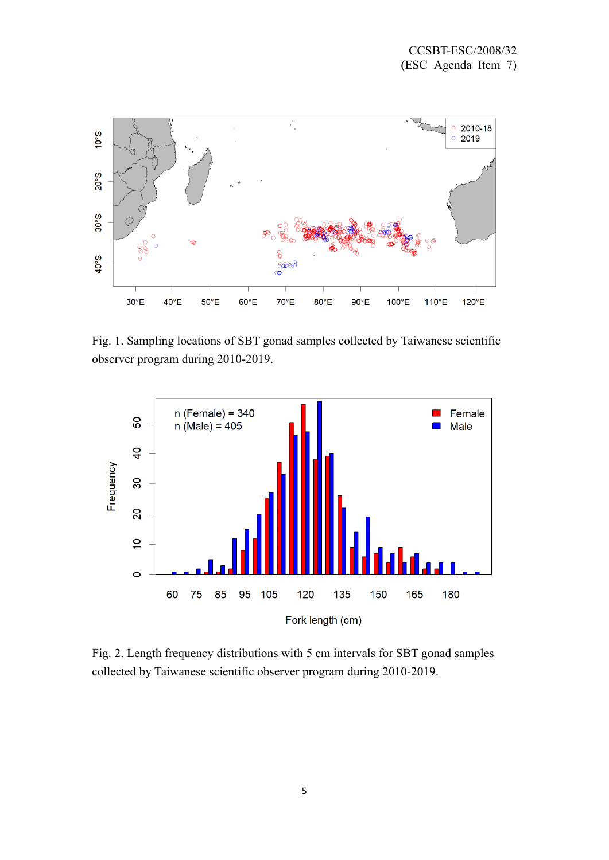

Fig. 1. Sampling locations of SBT gonad samples collected by Taiwanese scientific observer program during 2010-2019.



Fig. 2. Length frequency distributions with 5 cm intervals for SBT gonad samples collected by Taiwanese scientific observer program during 2010-2019.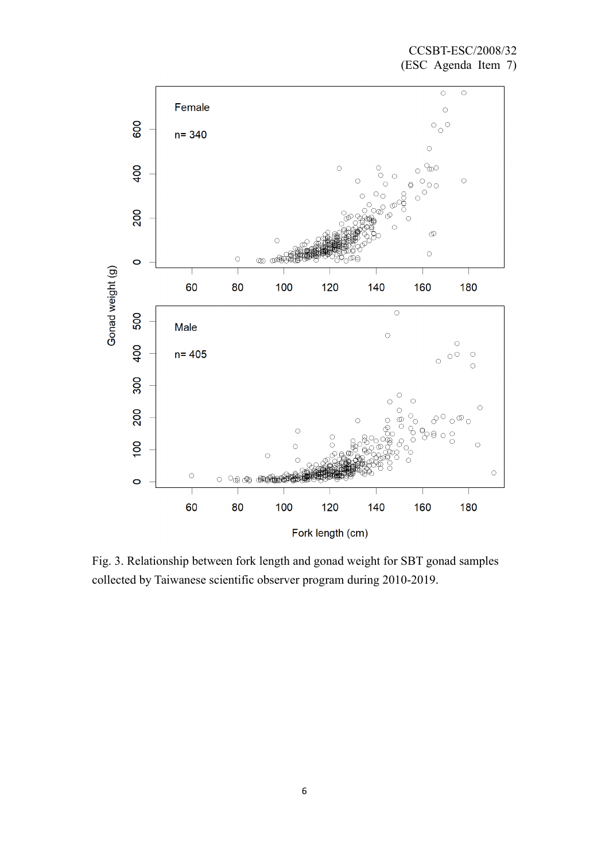

Fig. 3. Relationship between fork length and gonad weight for SBT gonad samples collected by Taiwanese scientific observer program during 2010-2019.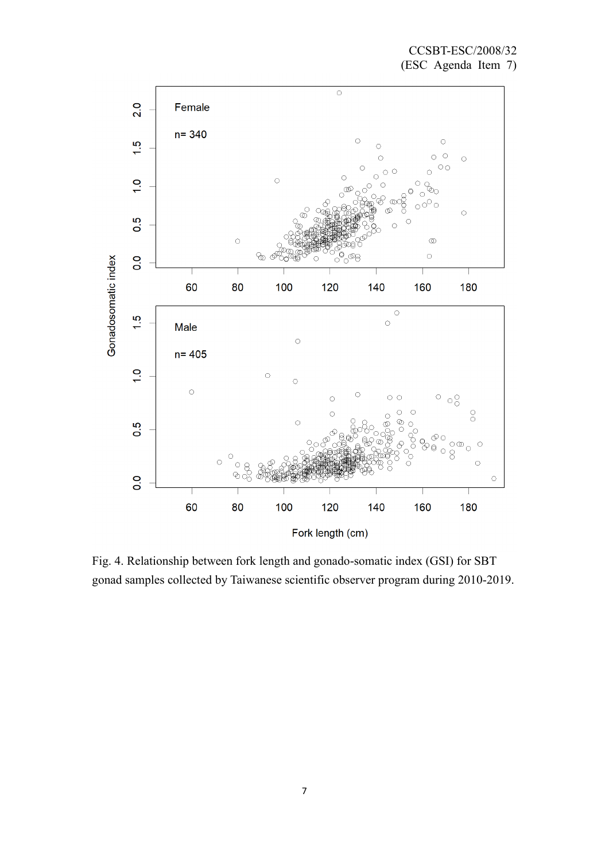

Fig. 4. Relationship between fork length and gonado-somatic index (GSI) for SBT gonad samples collected by Taiwanese scientific observer program during 2010-2019.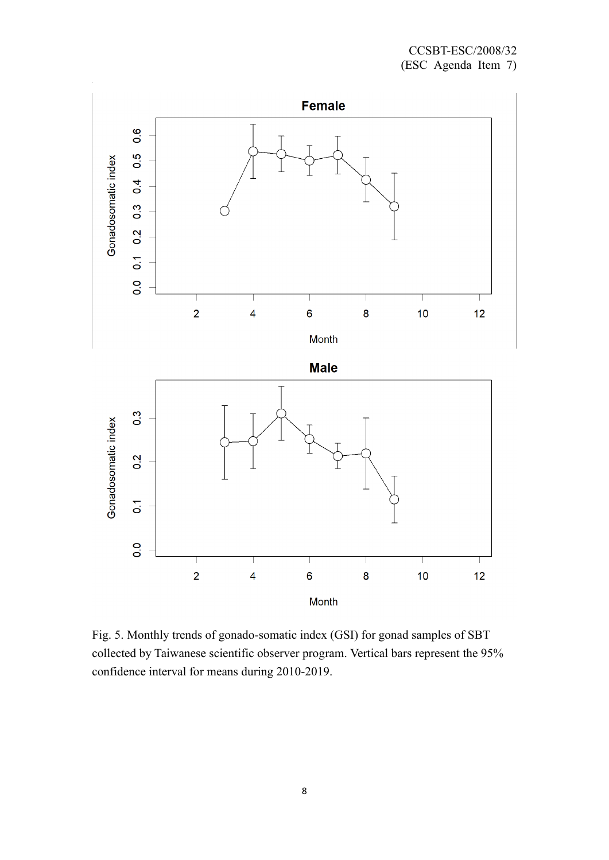

Fig. 5. Monthly trends of gonado-somatic index (GSI) for gonad samples of SBT collected by Taiwanese scientific observer program. Vertical bars represent the 95% confidence interval for means during 2010-2019.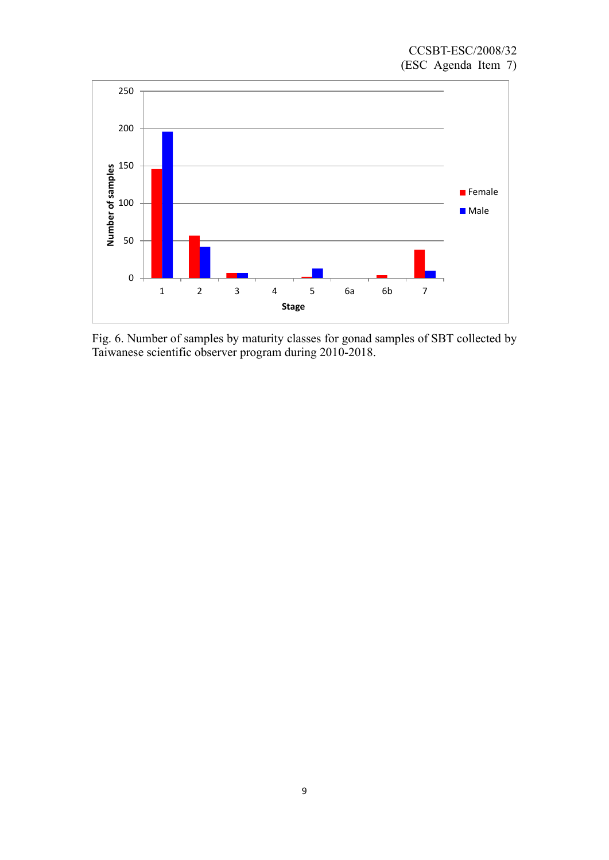

Fig. 6. Number of samples by maturity classes for gonad samples of SBT collected by Taiwanese scientific observer program during 2010-2018.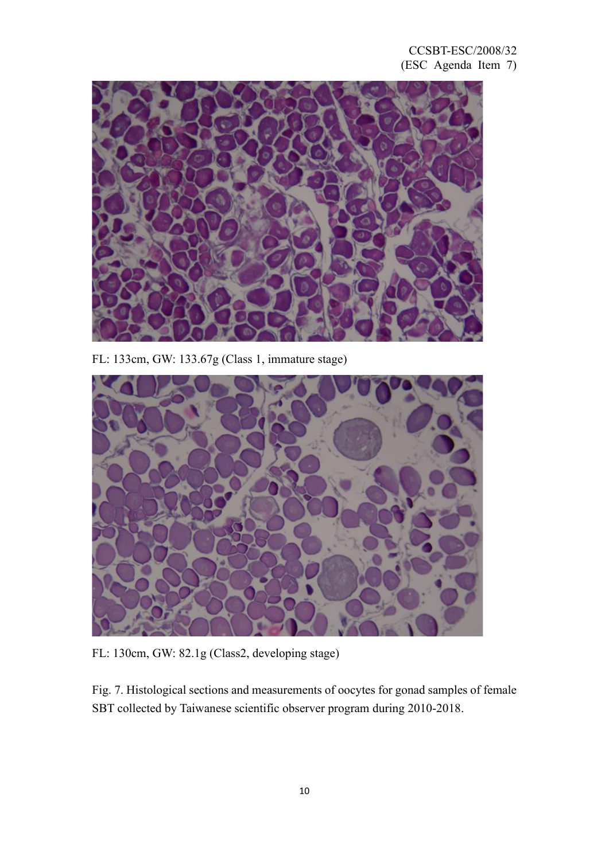

FL: 133cm, GW: 133.67g (Class 1, immature stage)



FL: 130cm, GW: 82.1g (Class2, developing stage)

Fig. 7. Histological sections and measurements of oocytes for gonad samples of female SBT collected by Taiwanese scientific observer program during 2010-2018.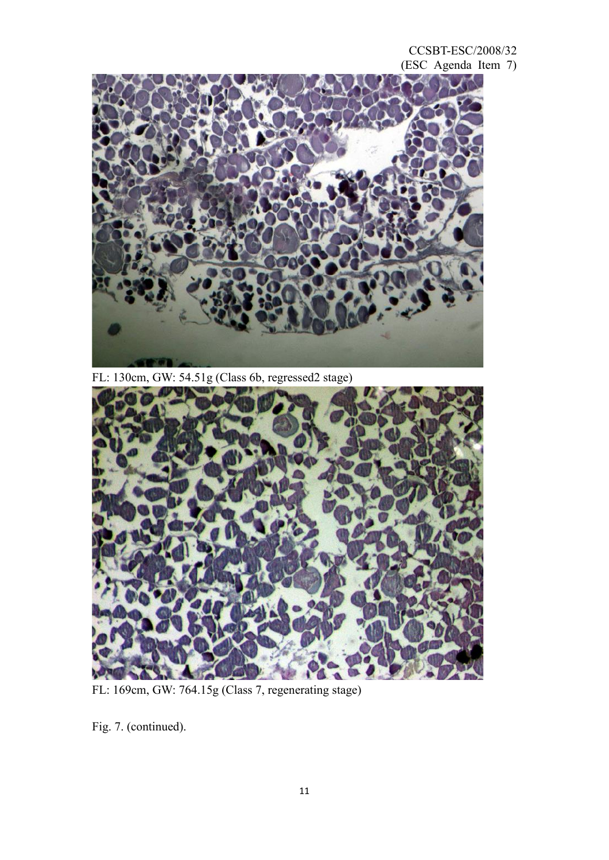CCSBT-ESC/2008/32 (ESC Agenda Item 7)



FL: 130cm, GW: 54.51g (Class 6b, regressed2 stage)



FL: 169cm, GW: 764.15g (Class 7, regenerating stage)

Fig. 7. (continued).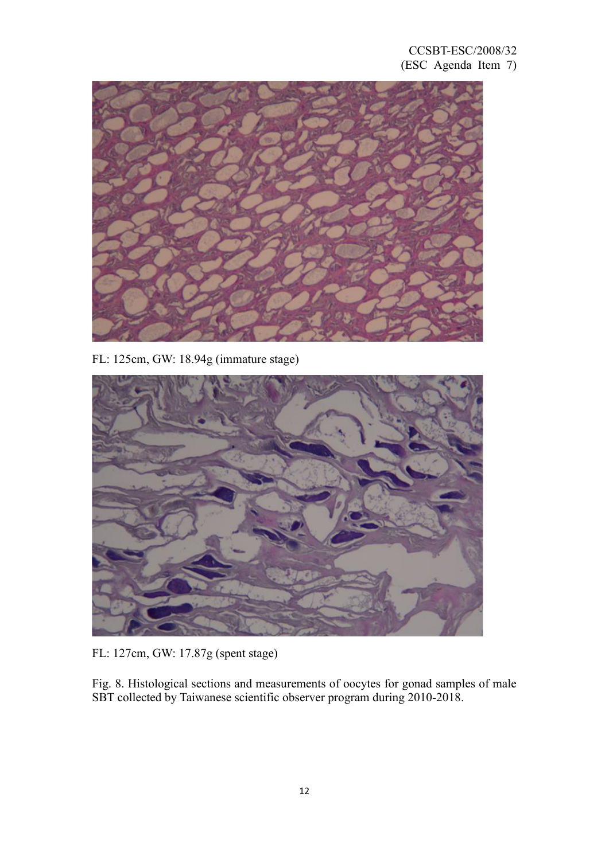## CCSBT-ESC/2008/32 (ESC Agenda Item 7)



FL: 125cm, GW: 18.94g (immature stage)



FL: 127cm, GW: 17.87g (spent stage)

Fig. 8. Histological sections and measurements of oocytes for gonad samples of male SBT collected by Taiwanese scientific observer program during 2010-2018.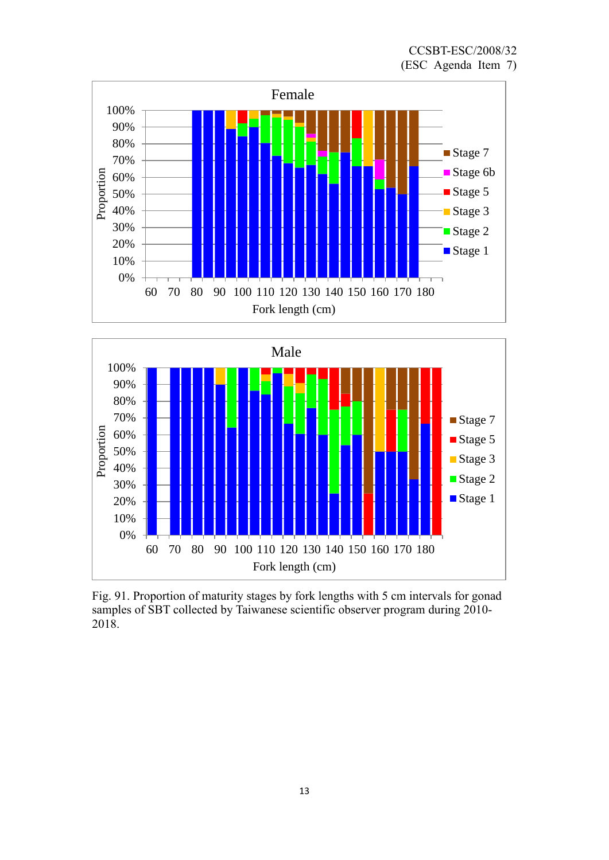



Fig. 91. Proportion of maturity stages by fork lengths with 5 cm intervals for gonad samples of SBT collected by Taiwanese scientific observer program during 2010- 2018.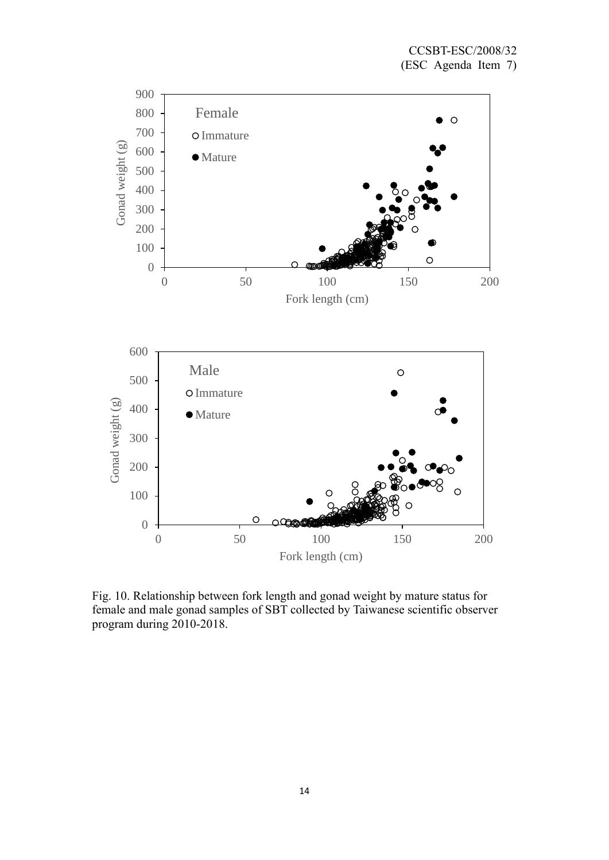

Fig. 10. Relationship between fork length and gonad weight by mature status for female and male gonad samples of SBT collected by Taiwanese scientific observer program during 2010-2018.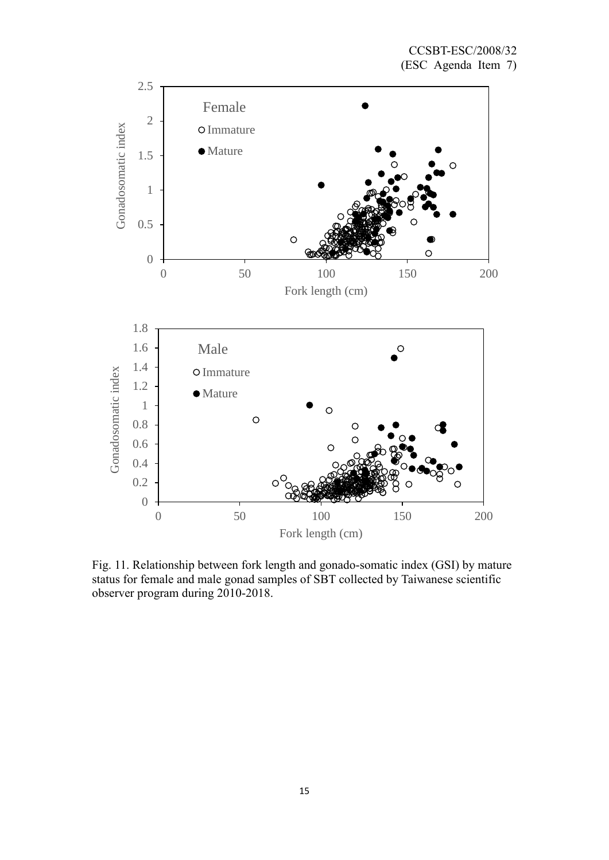

Fig. 11. Relationship between fork length and gonado-somatic index (GSI) by mature status for female and male gonad samples of SBT collected by Taiwanese scientific observer program during 2010-2018.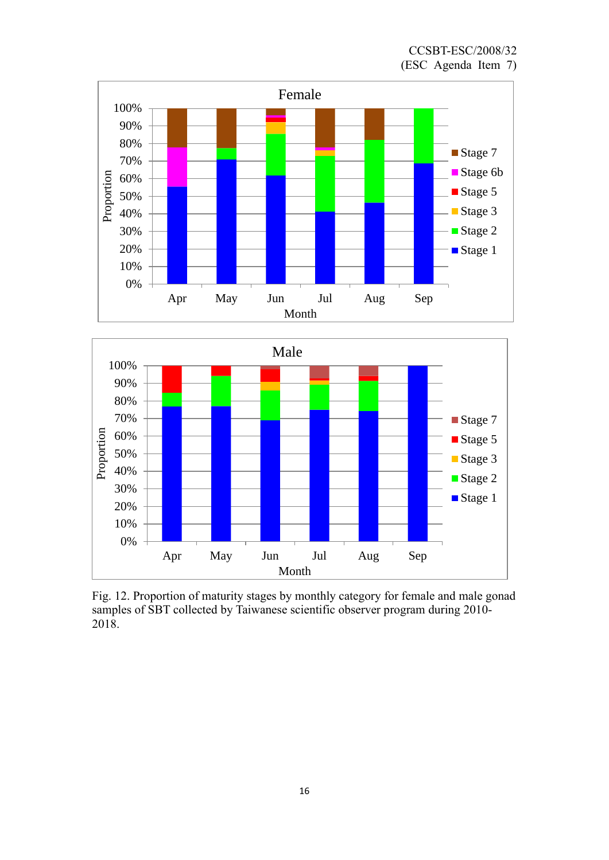



Fig. 12. Proportion of maturity stages by monthly category for female and male gonad samples of SBT collected by Taiwanese scientific observer program during 2010- 2018.